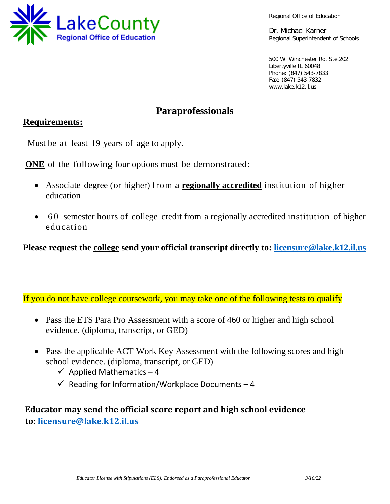

Regional Office of Education

Dr. Michael Karner Regional Superintendent of Schools

500 W. Winchester Rd. Ste.202 Libertyville IL 60048 Phone: (847) 543-7833 Fax: (847) 543-7832 www.lake.k12.il.us

# **Paraprofessionals**

### **Requirements:**

Must be at least 19 years of age to apply.

**ONE** of the following four options must be demonstrated:

- Associate degree (or higher) from a **regionally accredited** institution of higher education
- 60 semester hours of college credit from a regionally accredited institution of higher education

**Please request the college send your official transcript directly to: [licensure@lake.k12.il.us](mailto:licensure@lake.k12.il.us)**

If you do not have college coursework, you may take one of the following tests to qualify

- Pass the ETS Para Pro Assessment with a score of 460 or higher and high school evidence. (diploma, transcript, or GED)
- Pass the applicable ACT Work Key Assessment with the following scores and high school evidence. (diploma, transcript, or GED)
	- $\checkmark$  Applied Mathematics 4
	- $\checkmark$  Reading for Information/Workplace Documents 4

# **Educator may send the official score report and high school evidence to: [licensure@lake.k12.il.us](mailto:licensure@lake.k12.il.us)**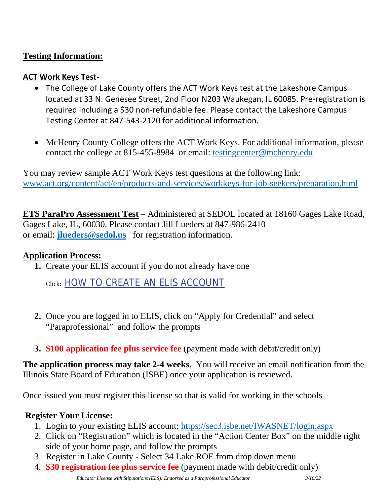## **Testing Information:**

### **ACT Work Keys Test**-

- The College of Lake County offers the ACT Work Keys test at the Lakeshore Campus located at 33 N. Genesee Street, 2nd Floor N203 Waukegan, IL 60085. Pre-registration is required including a \$30 non-refundable fee. Please contact the Lakeshore Campus Testing Center at 847-543-2120 for additional information.
- McHenry County College offers the ACT Work Keys. For additional information, please contact the college at 815-455-8984 or email: [testingcenter@mchenry.edu](mailto:testingcenter@mchenry.edu)

You may review sample ACT Work Keys test questions at the following link: [www.act.org/content/act/en/products-and-services/workkeys-for-job-seekers/preparation.html](http://www.act.org/content/act/en/products-and-services/workkeys-for-job-seekers/preparation.html)

**ETS ParaPro Assessment Test** – Administered at SEDOL located at 18160 Gages Lake Road, Gages Lake, IL, 60030. Please contact Jill Lueders at 847-986-2410 or email: **[jlueders@sedol.us](mailto:jlueders@sedol.us)** for registration information.

### **Application Process:**

**1.** Create your ELIS account if you do not already have one

Click: [HOW TO CREATE AN ELIS ACCOUNT](https://www.isbe.net/Documents/How-To-Create-ELIS-Acct.pdf#search=how%20to%20create%20and%20ELIS%20account)

- **2.** Once you are logged in to ELIS, click on "Apply for Credential" and select "Paraprofessional" and follow the prompts
- **3. \$100 application fee plus service fee** (payment made with debit/credit only)

**The application process may take 2-4 weeks**. You will receive an email notification from the Illinois State Board of Education (ISBE) once your application is reviewed.

Once issued you must register this license so that is valid for working in the schools

#### **Register Your License:**

- 1. Login to your existing ELIS account:<https://sec3.isbe.net/IWASNET/login.aspx>
- 2. Click on "Registration" which is located in the "Action Center Box" on the middle right side of your home page, and follow the prompts
- 3. Register in Lake County Select 34 Lake ROE from drop down menu
- 4. **\$30 registration fee plus service fee** (payment made with debit/credit only)